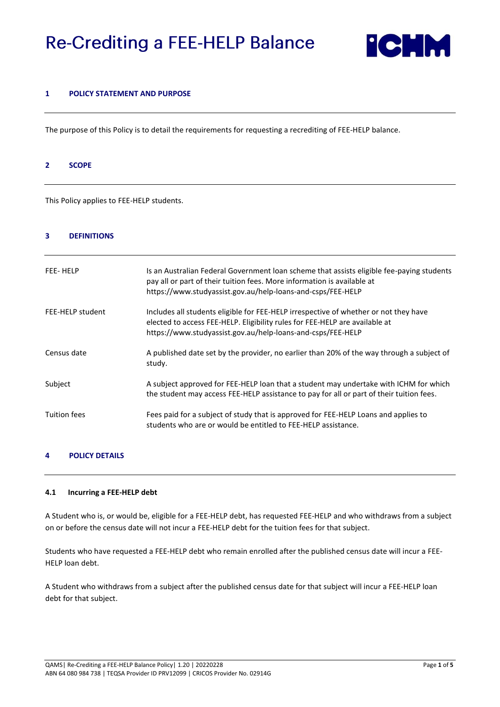# **Re-Crediting a FEE-HELP Balance**



#### **1 POLICY STATEMENT AND PURPOSE**

The purpose of this Policy is to detail the requirements for requesting a recrediting of FEE-HELP balance.

#### **2 SCOPE**

This Policy applies to FEE-HELP students.

#### **3 DEFINITIONS**

| FEE-HELP            | Is an Australian Federal Government loan scheme that assists eligible fee-paying students<br>pay all or part of their tuition fees. More information is available at<br>https://www.studyassist.gov.au/help-loans-and-csps/FEE-HELP |
|---------------------|-------------------------------------------------------------------------------------------------------------------------------------------------------------------------------------------------------------------------------------|
| FEE-HELP student    | Includes all students eligible for FEE-HELP irrespective of whether or not they have<br>elected to access FEE-HELP. Eligibility rules for FEE-HELP are available at<br>https://www.studyassist.gov.au/help-loans-and-csps/FEE-HELP  |
| Census date         | A published date set by the provider, no earlier than 20% of the way through a subject of<br>study.                                                                                                                                 |
| Subject             | A subject approved for FEE-HELP loan that a student may undertake with ICHM for which<br>the student may access FEE-HELP assistance to pay for all or part of their tuition fees.                                                   |
| <b>Tuition fees</b> | Fees paid for a subject of study that is approved for FEE-HELP Loans and applies to<br>students who are or would be entitled to FEE-HELP assistance.                                                                                |

# **4 POLICY DETAILS**

#### **4.1 Incurring a FEE-HELP debt**

A Student who is, or would be, eligible for a FEE-HELP debt, has requested FEE-HELP and who withdraws from a subject on or before the census date will not incur a FEE-HELP debt for the tuition fees for that subject.

Students who have requested a FEE-HELP debt who remain enrolled after the published census date will incur a FEE-HELP loan debt.

A Student who withdraws from a subject after the published census date for that subject will incur a FEE-HELP loan debt for that subject.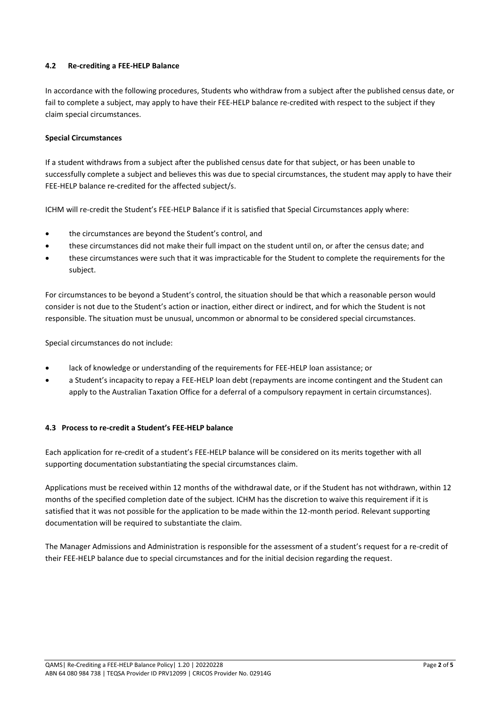# **4.2 Re-crediting a FEE-HELP Balance**

In accordance with the following procedures, Students who withdraw from a subject after the published census date, or fail to complete a subject, may apply to have their FEE-HELP balance re-credited with respect to the subject if they claim special circumstances.

# **Special Circumstances**

If a student withdraws from a subject after the published census date for that subject, or has been unable to successfully complete a subject and believes this was due to special circumstances, the student may apply to have their FEE-HELP balance re-credited for the affected subject/s.

ICHM will re-credit the Student's FEE-HELP Balance if it is satisfied that Special Circumstances apply where:

- the circumstances are beyond the Student's control, and
- these circumstances did not make their full impact on the student until on, or after the census date; and
- these circumstances were such that it was impracticable for the Student to complete the requirements for the subject.

For circumstances to be beyond a Student's control, the situation should be that which a reasonable person would consider is not due to the Student's action or inaction, either direct or indirect, and for which the Student is not responsible. The situation must be unusual, uncommon or abnormal to be considered special circumstances.

Special circumstances do not include:

- lack of knowledge or understanding of the requirements for FEE-HELP loan assistance; or
- a Student's incapacity to repay a FEE-HELP loan debt (repayments are income contingent and the Student can apply to the Australian Taxation Office for a deferral of a compulsory repayment in certain circumstances).

# **4.3 Process to re-credit a Student's FEE-HELP balance**

Each application for re-credit of a student's FEE-HELP balance will be considered on its merits together with all supporting documentation substantiating the special circumstances claim.

Applications must be received within 12 months of the withdrawal date, or if the Student has not withdrawn, within 12 months of the specified completion date of the subject. ICHM has the discretion to waive this requirement if it is satisfied that it was not possible for the application to be made within the 12-month period. Relevant supporting documentation will be required to substantiate the claim.

The Manager Admissions and Administration is responsible for the assessment of a student's request for a re-credit of their FEE-HELP balance due to special circumstances and for the initial decision regarding the request.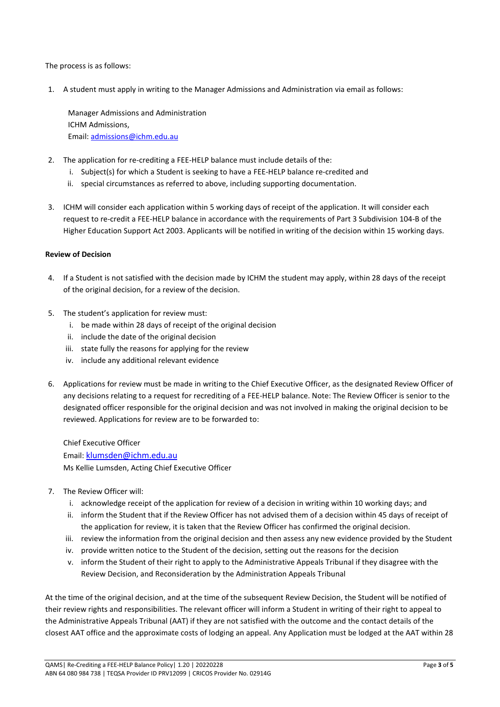The process is as follows:

1. A student must apply in writing to the Manager Admissions and Administration via email as follows:

Manager Admissions and Administration ICHM Admissions, Email: [admissions@ichm.edu.au](mailto:nsimmons@ichm.edu.au)

- 2. The application for re-crediting a FEE-HELP balance must include details of the:
	- i. Subject(s) for which a Student is seeking to have a FEE-HELP balance re-credited and
	- ii. special circumstances as referred to above, including supporting documentation.
- 3. ICHM will consider each application within 5 working days of receipt of the application. It will consider each request to re-credit a FEE-HELP balance in accordance with the requirements of Part 3 Subdivision 104-B of the Higher Education Support Act 2003. Applicants will be notified in writing of the decision within 15 working days.

## **Review of Decision**

- 4. If a Student is not satisfied with the decision made by ICHM the student may apply, within 28 days of the receipt of the original decision, for a review of the decision.
- 5. The student's application for review must:
	- i. be made within 28 days of receipt of the original decision
	- ii. include the date of the original decision
	- iii. state fully the reasons for applying for the review
	- iv. include any additional relevant evidence
- 6. Applications for review must be made in writing to the Chief Executive Officer, as the designated Review Officer of any decisions relating to a request for recrediting of a FEE-HELP balance. Note: The Review Officer is senior to the designated officer responsible for the original decision and was not involved in making the original decision to be reviewed. Applications for review are to be forwarded to:

Chief Executive Officer Email: [klumsden@ichm.edu.au](mailto:klumsden@ichm.edu.au)  Ms Kellie Lumsden, Acting Chief Executive Officer

- 7. The Review Officer will:
	- i. acknowledge receipt of the application for review of a decision in writing within 10 working days; and
	- ii. inform the Student that if the Review Officer has not advised them of a decision within 45 days of receipt of the application for review, it is taken that the Review Officer has confirmed the original decision.
	- iii. review the information from the original decision and then assess any new evidence provided by the Student
	- iv. provide written notice to the Student of the decision, setting out the reasons for the decision
	- v. inform the Student of their right to apply to the Administrative Appeals Tribunal if they disagree with the Review Decision, and Reconsideration by the Administration Appeals Tribunal

At the time of the original decision, and at the time of the subsequent Review Decision, the Student will be notified of their review rights and responsibilities. The relevant officer will inform a Student in writing of their right to appeal to the Administrative Appeals Tribunal (AAT) if they are not satisfied with the outcome and the contact details of the closest AAT office and the approximate costs of lodging an appeal. Any Application must be lodged at the AAT within 28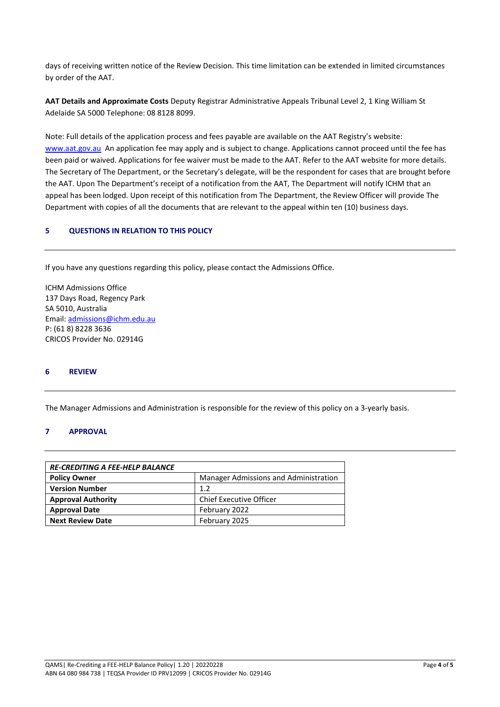days of receiving written notice of the Review Decision. This time limitation can be extended in limited circumstances by order of the AAT.

**AAT Details and Approximate Costs** Deputy Registrar Administrative Appeals Tribunal Level 2, 1 King William St Adelaide SA 5000 Telephone: 08 8128 8099.

Note: Full details of the application process and fees payable are available on the AAT Registry's website: [www.aat.gov.au](http://www.aat.gov.au/) An application fee may apply and is subject to change. Applications cannot proceed until the fee has been paid or waived. Applications for fee waiver must be made to the AAT. Refer to the AAT website for more details. The Secretary of The Department, or the Secretary's delegate, will be the respondent for cases that are brought before the AAT. Upon The Department's receipt of a notification from the AAT, The Department will notify ICHM that an appeal has been lodged. Upon receipt of this notification from The Department, the Review Officer will provide The Department with copies of all the documents that are relevant to the appeal within ten (10) business days.

# **5 QUESTIONS IN RELATION TO THIS POLICY**

If you have any questions regarding this policy, please contact the Admissions Office.

ICHM Admissions Office 137 Days Road, Regency Park SA 5010, Australia Email: [admissions@ichm.edu.au](mailto:admissions@ichm.edu.au) P: (61 8) 8228 3636 CRICOS Provider No. 02914G

## **6 REVIEW**

The Manager Admissions and Administration is responsible for the review of this policy on a 3-yearly basis.

#### **7 APPROVAL**

| <b>RE-CREDITING A FEE-HELP BALANCE</b> |                                       |  |  |  |
|----------------------------------------|---------------------------------------|--|--|--|
| <b>Policy Owner</b>                    | Manager Admissions and Administration |  |  |  |
| <b>Version Number</b>                  | 1.2                                   |  |  |  |
| <b>Approval Authority</b>              | <b>Chief Executive Officer</b>        |  |  |  |
| <b>Approval Date</b>                   | February 2022                         |  |  |  |
| <b>Next Review Date</b>                | February 2025                         |  |  |  |